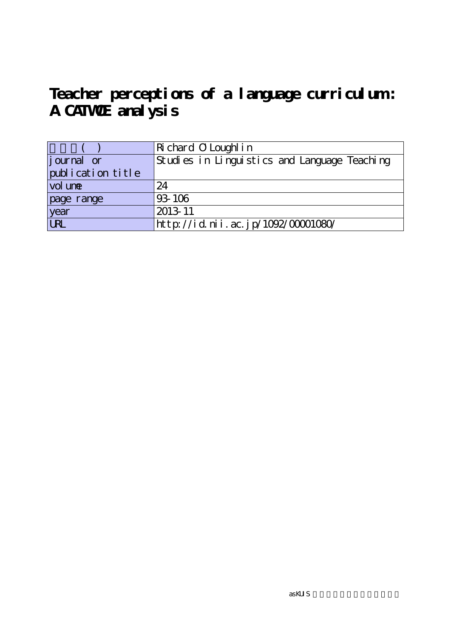# **Teacher perceptions of a language curriculum :** A CATWOE analysis

|                   | Richard O Loughl in                          |
|-------------------|----------------------------------------------|
| journal or        | Studies in Linguistics and Language Teaching |
| publication title |                                              |
| vol une           | 24                                           |
| page range        | 93-106                                       |
| year<br>URL       | 2013-11                                      |
|                   | http://id.nii.ac.jp/1092/00001080/           |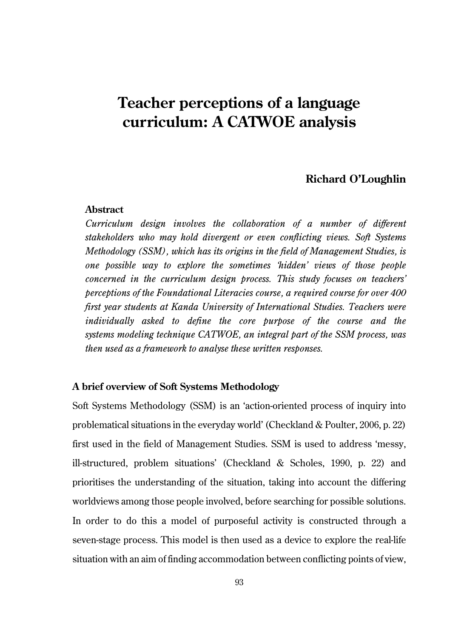# **Teacher perceptions of a language curriculum: A CATWOE analysis**

# **Richard O'Loughlin**

#### **Abstract**

*Curriculum design involves the collaboration of a number of different stakeholders who may hold divergent or even conflicting views. Soft Systems Methodology (SSM), which has its origins in the field of Management Studies, is one possible way to explore the sometimes 'hidden' views of those people concerned in the curriculum design process. This study focuses on teachers' perceptions of the Foundational Literacies course, a required course for over 400 first year students at Kanda University of International Studies. Teachers were individually asked to define the core purpose of the course and the systems modeling technique CATWOE, an integral part of the SSM process, was then used as a framework to analyse these written responses.*

#### **A brief overview of Soft Systems Methodology**

Soft Systems Methodology (SSM) is an 'action-oriented process of inquiry into problematical situations in the everyday world' (Checkland & Poulter, 2006, p. 22) first used in the field of Management Studies. SSM is used to address 'messy, ill-structured, problem situations' (Checkland & Scholes, 1990, p. 22) and prioritises the understanding of the situation, taking into account the differing worldviews among those people involved, before searching for possible solutions. In order to do this a model of purposeful activity is constructed through a seven-stage process. This model is then used as a device to explore the real-life situation with an aim of finding accommodation between conflicting points of view,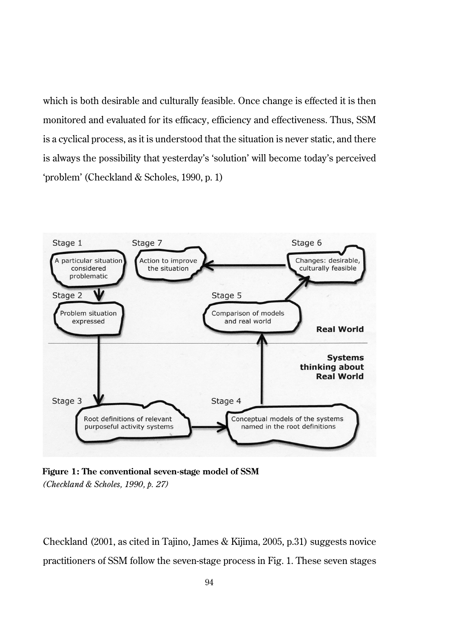which is both desirable and culturally feasible. Once change is effected it is then monitored and evaluated for its efficacy, efficiency and effectiveness. Thus, SSM is a cyclical process, as it is understood that the situation is never static, and there is always the possibility that yesterday's 'solution' will become today's perceived 'problem' (Checkland & Scholes, 1990, p. 1)



**Figure 1: The conventional seven-stage model of SSM**  *(Checkland & Scholes, 1990, p. 27)*

Checkland (2001, as cited in Tajino, James & Kijima, 2005, p.31) suggests novice practitioners of SSM follow the seven-stage process in Fig. 1. These seven stages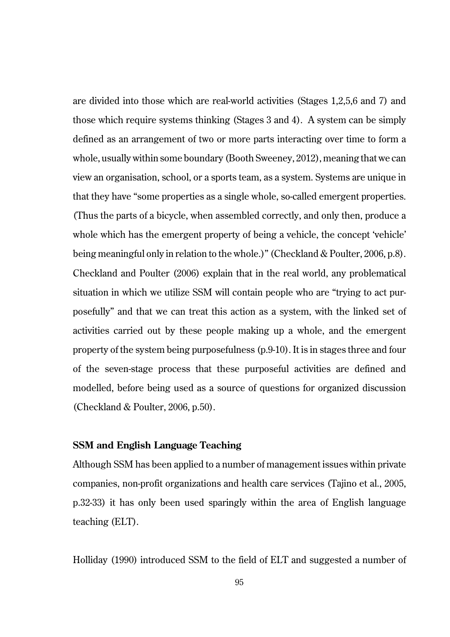are divided into those which are real-world activities (Stages 1,2,5,6 and 7) and those which require systems thinking (Stages 3 and 4). A system can be simply defined as an arrangement of two or more parts interacting over time to form a whole, usually within some boundary (Booth Sweeney, 2012), meaning that we can view an organisation, school, or a sports team, as a system. Systems are unique in that they have "some properties as a single whole, so-called emergent properties. (Thus the parts of a bicycle, when assembled correctly, and only then, produce a whole which has the emergent property of being a vehicle, the concept 'vehicle' being meaningful only in relation to the whole.)" (Checkland & Poulter, 2006, p.8). Checkland and Poulter (2006) explain that in the real world, any problematical situation in which we utilize SSM will contain people who are "trying to act purposefully" and that we can treat this action as a system, with the linked set of activities carried out by these people making up a whole, and the emergent property of the system being purposefulness (p.9-10). It is in stages three and four of the seven-stage process that these purposeful activities are defined and modelled, before being used as a source of questions for organized discussion (Checkland & Poulter, 2006, p.50).

#### **SSM and English Language Teaching**

Although SSM has been applied to a number of management issues within private companies, non-profit organizations and health care services (Tajino et al., 2005, p.32-33) it has only been used sparingly within the area of English language teaching (ELT).

Holliday (1990) introduced SSM to the field of ELT and suggested a number of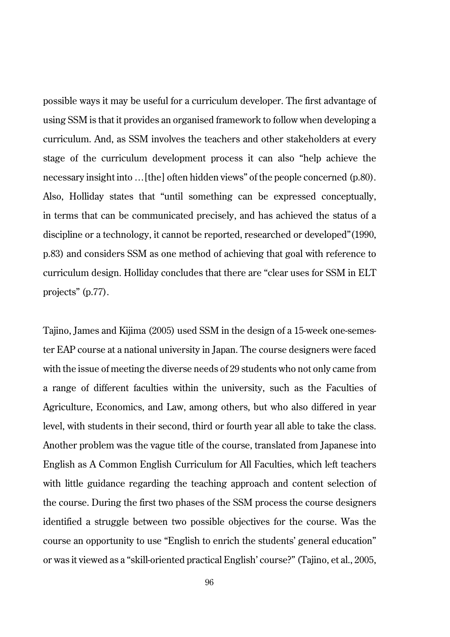possible ways it may be useful for a curriculum developer. The first advantage of using SSM is that it provides an organised framework to follow when developing a curriculum. And, as SSM involves the teachers and other stakeholders at every stage of the curriculum development process it can also "help achieve the necessary insight into …[the] often hidden views" of the people concerned (p.80). Also, Holliday states that "until something can be expressed conceptually, in terms that can be communicated precisely, and has achieved the status of a discipline or a technology, it cannot be reported, researched or developed"(1990, p.83) and considers SSM as one method of achieving that goal with reference to curriculum design. Holliday concludes that there are "clear uses for SSM in ELT projects" (p.77).

Tajino, James and Kijima (2005) used SSM in the design of a 15-week one-semester EAP course at a national university in Japan. The course designers were faced with the issue of meeting the diverse needs of 29 students who not only came from a range of different faculties within the university, such as the Faculties of Agriculture, Economics, and Law, among others, but who also differed in year level, with students in their second, third or fourth year all able to take the class. Another problem was the vague title of the course, translated from Japanese into English as A Common English Curriculum for All Faculties, which left teachers with little guidance regarding the teaching approach and content selection of the course. During the first two phases of the SSM process the course designers identified a struggle between two possible objectives for the course. Was the course an opportunity to use "English to enrich the students' general education" or was it viewed as a "skill-oriented practical English' course?" (Tajino, et al., 2005,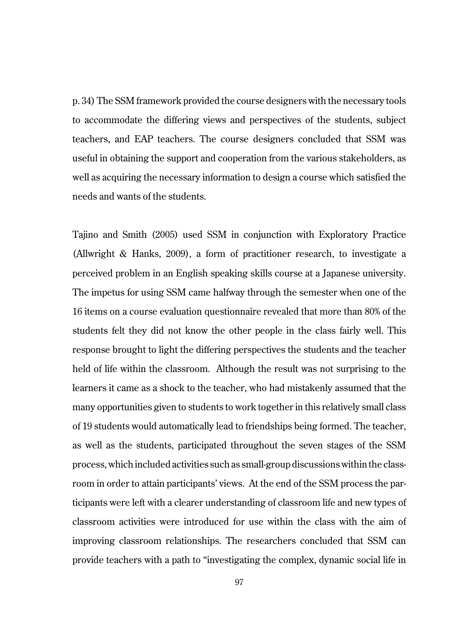p. 34) The SSM framework provided the course designers with the necessary tools to accommodate the differing views and perspectives of the students, subject teachers, and EAP teachers. The course designers concluded that SSM was useful in obtaining the support and cooperation from the various stakeholders, as well as acquiring the necessary information to design a course which satisfied the needs and wants of the students.

Tajino and Smith (2005) used SSM in conjunction with Exploratory Practice (Allwright & Hanks, 2009), a form of practitioner research, to investigate a perceived problem in an English speaking skills course at a Japanese university. The impetus for using SSM came halfway through the semester when one of the 16 items on a course evaluation questionnaire revealed that more than 80% of the students felt they did not know the other people in the class fairly well. This response brought to light the differing perspectives the students and the teacher held of life within the classroom. Although the result was not surprising to the learners it came as a shock to the teacher, who had mistakenly assumed that the many opportunities given to students to work together in this relatively small class of 19 students would automatically lead to friendships being formed. The teacher, as well as the students, participated throughout the seven stages of the SSM process, which included activities such as small-group discussions within the classroom in order to attain participants' views. At the end of the SSM process the participants were left with a clearer understanding of classroom life and new types of classroom activities were introduced for use within the class with the aim of improving classroom relationships. The researchers concluded that SSM can provide teachers with a path to "investigating the complex, dynamic social life in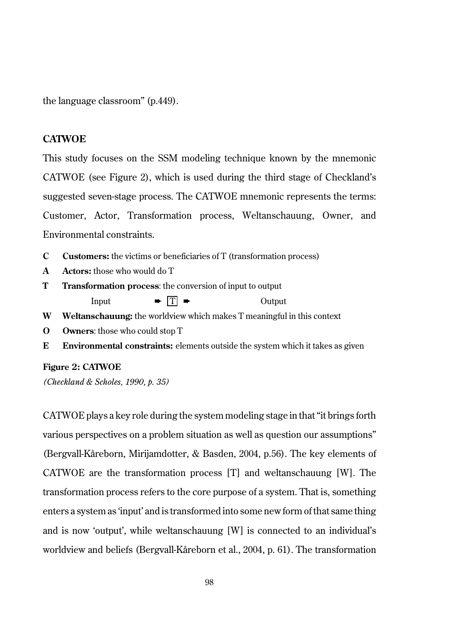the language classroom" (p.449).

#### **CATWOE**

This study focuses on the SSM modeling technique known by the mnemonic CATWOE (see Figure 2), which is used during the third stage of Checkland's suggested seven-stage process. The CATWOE mnemonic represents the terms: Customer, Actor, Transformation process, Weltanschauung, Owner, and Environmental constraints.

- **C Customers:** the victims or beneficiaries of T (transformation process)
- **A Actors:** those who would do T
- **T Transformation process**: the conversion of input to output Input  $\rightarrow \boxed{T} \rightarrow$  Output
- **W Weltanschauung:** the worldview which makes T meaningful in this context
- **O Owners**: those who could stop T
- **E Environmental constraints:** elements outside the system which it takes as given

#### **Figure 2: CATWOE**

*(Checkland & Scholes, 1990, p. 35)*

CATWOE plays a key role during the system modeling stage in that "it brings forth various perspectives on a problem situation as well as question our assumptions" (Bergvall-Kåreborn, Mirijamdotter, & Basden, 2004, p.56). The key elements of CATWOE are the transformation process [T] and weltanschauung [W]. The transformation process refers to the core purpose of a system. That is, something enters a system as 'input' and is transformed into some new form of that same thing and is now 'output', while weltanschauung [W] is connected to an individual's worldview and beliefs (Bergvall-Kåreborn et al., 2004, p. 61). The transformation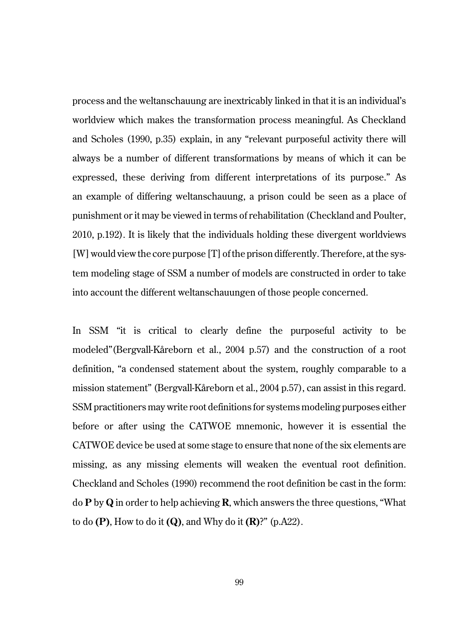process and the weltanschauung are inextricably linked in that it is an individual's worldview which makes the transformation process meaningful. As Checkland and Scholes (1990, p.35) explain, in any "relevant purposeful activity there will always be a number of different transformations by means of which it can be expressed, these deriving from different interpretations of its purpose." As an example of differing weltanschauung, a prison could be seen as a place of punishment or it may be viewed in terms of rehabilitation (Checkland and Poulter, 2010, p.192). It is likely that the individuals holding these divergent worldviews [W] would view the core purpose [T] of the prison differently. Therefore, at the system modeling stage of SSM a number of models are constructed in order to take into account the different weltanschauungen of those people concerned.

In SSM "it is critical to clearly define the purposeful activity to be modeled"(Bergvall-Kåreborn et al., 2004 p.57) and the construction of a root definition, "a condensed statement about the system, roughly comparable to a mission statement" (Bergvall-Kåreborn et al., 2004 p.57), can assist in this regard. SSM practitioners may write root definitions for systems modeling purposes either before or after using the CATWOE mnemonic, however it is essential the CATWOE device be used at some stage to ensure that none of the six elements are missing, as any missing elements will weaken the eventual root definition. Checkland and Scholes (1990) recommend the root definition be cast in the form: do **P** by **Q** in order to help achieving **R**, which answers the three questions, "What to do **(P)**, How to do it **(Q)**, and Why do it **(R)**?" (p.A22).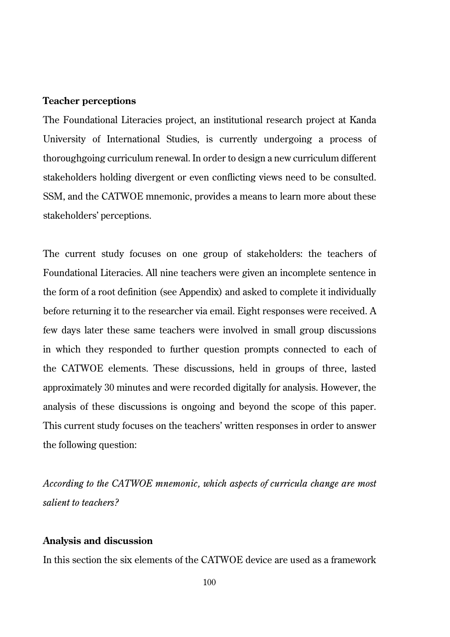# **Teacher perceptions**

The Foundational Literacies project, an institutional research project at Kanda University of International Studies, is currently undergoing a process of thoroughgoing curriculum renewal. In order to design a new curriculum different stakeholders holding divergent or even conflicting views need to be consulted. SSM, and the CATWOE mnemonic, provides a means to learn more about these stakeholders' perceptions.

The current study focuses on one group of stakeholders: the teachers of Foundational Literacies. All nine teachers were given an incomplete sentence in the form of a root definition (see Appendix) and asked to complete it individually before returning it to the researcher via email. Eight responses were received. A few days later these same teachers were involved in small group discussions in which they responded to further question prompts connected to each of the CATWOE elements. These discussions, held in groups of three, lasted approximately 30 minutes and were recorded digitally for analysis. However, the analysis of these discussions is ongoing and beyond the scope of this paper. This current study focuses on the teachers' written responses in order to answer the following question:

*According to the CATWOE mnemonic, which aspects of curricula change are most salient to teachers?*

#### **Analysis and discussion**

In this section the six elements of the CATWOE device are used as a framework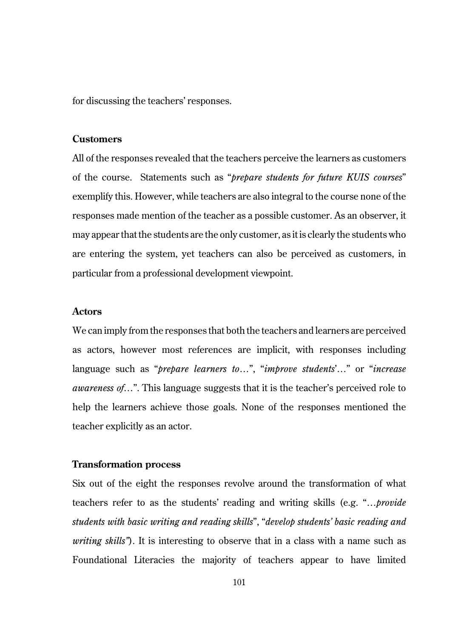for discussing the teachers' responses.

## **Customers**

All of the responses revealed that the teachers perceive the learners as customers of the course. Statements such as "*prepare students for future KUIS courses*" exemplify this. However, while teachers are also integral to the course none of the responses made mention of the teacher as a possible customer. As an observer, it may appear that the students are the only customer, as it is clearly the students who are entering the system, yet teachers can also be perceived as customers, in particular from a professional development viewpoint.

#### **Actors**

We can imply from the responses that both the teachers and learners are perceived as actors, however most references are implicit, with responses including language such as "*prepare learners to*…", "*improve students*'…" or "*increase awareness of*…". This language suggests that it is the teacher's perceived role to help the learners achieve those goals. None of the responses mentioned the teacher explicitly as an actor.

#### **Transformation process**

Six out of the eight the responses revolve around the transformation of what teachers refer to as the students' reading and writing skills (e.g. "…*provide students with basic writing and reading skills*", "*develop students' basic reading and writing skills"*). It is interesting to observe that in a class with a name such as Foundational Literacies the majority of teachers appear to have limited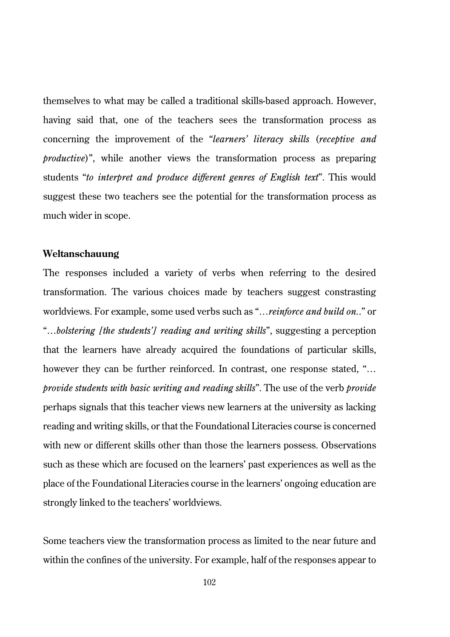themselves to what may be called a traditional skills-based approach. However, having said that, one of the teachers sees the transformation process as concerning the improvement of the "*learners' literacy skills* (*receptive and productive*)", while another views the transformation process as preparing students "*to interpret and produce different genres of English text*". This would suggest these two teachers see the potential for the transformation process as much wider in scope.

#### **Weltanschauung**

The responses included a variety of verbs when referring to the desired transformation. The various choices made by teachers suggest constrasting worldviews. For example, some used verbs such as "*…reinforce and build on.*." or "…*bolstering [the students'] reading and writing skills*", suggesting a perception that the learners have already acquired the foundations of particular skills, however they can be further reinforced. In contrast, one response stated, "... *provide students with basic writing and reading skills*". The use of the verb *provide* perhaps signals that this teacher views new learners at the university as lacking reading and writing skills, or that the Foundational Literacies course is concerned with new or different skills other than those the learners possess. Observations such as these which are focused on the learners' past experiences as well as the place of the Foundational Literacies course in the learners' ongoing education are strongly linked to the teachers' worldviews.

Some teachers view the transformation process as limited to the near future and within the confines of the university. For example, half of the responses appear to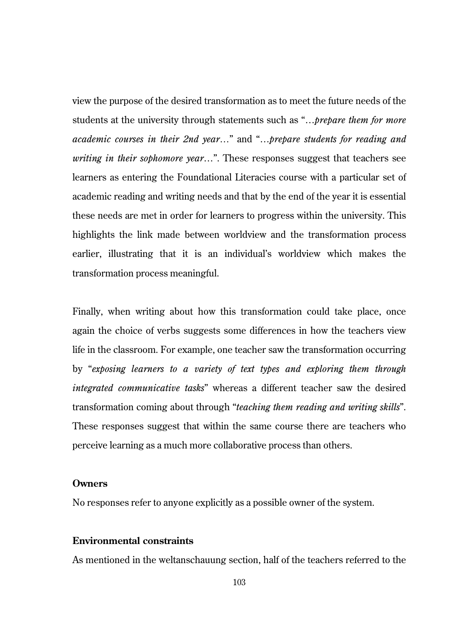view the purpose of the desired transformation as to meet the future needs of the students at the university through statements such as "…*prepare them for more academic courses in their 2nd year…*" and "…*prepare students for reading and writing in their sophomore year*…". These responses suggest that teachers see learners as entering the Foundational Literacies course with a particular set of academic reading and writing needs and that by the end of the year it is essential these needs are met in order for learners to progress within the university. This highlights the link made between worldview and the transformation process earlier, illustrating that it is an individual's worldview which makes the transformation process meaningful.

Finally, when writing about how this transformation could take place, once again the choice of verbs suggests some differences in how the teachers view life in the classroom. For example, one teacher saw the transformation occurring by "*exposing learners to a variety of text types and exploring them through integrated communicative tasks*" whereas a different teacher saw the desired transformation coming about through "*teaching them reading and writing skills*". These responses suggest that within the same course there are teachers who perceive learning as a much more collaborative process than others.

#### **Owners**

No responses refer to anyone explicitly as a possible owner of the system.

# **Environmental constraints**

As mentioned in the weltanschauung section, half of the teachers referred to the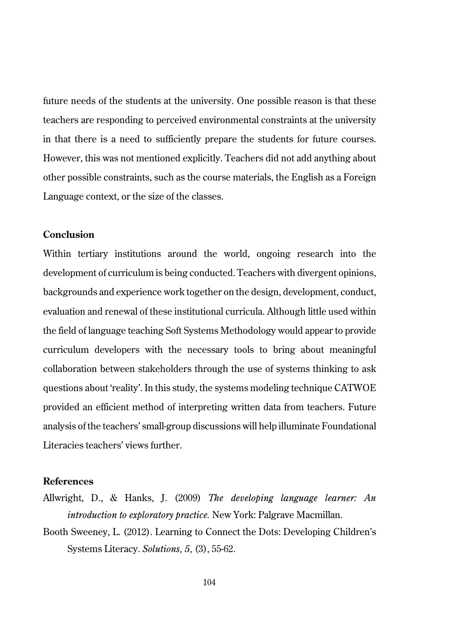future needs of the students at the university. One possible reason is that these teachers are responding to perceived environmental constraints at the university in that there is a need to sufficiently prepare the students for future courses. However, this was not mentioned explicitly. Teachers did not add anything about other possible constraints, such as the course materials, the English as a Foreign Language context, or the size of the classes.

# **Conclusion**

Within tertiary institutions around the world, ongoing research into the development of curriculum is being conducted. Teachers with divergent opinions, backgrounds and experience work together on the design, development, conduct, evaluation and renewal of these institutional curricula. Although little used within the field of language teaching Soft Systems Methodology would appear to provide curriculum developers with the necessary tools to bring about meaningful collaboration between stakeholders through the use of systems thinking to ask questions about 'reality'. In this study, the systems modeling technique CATWOE provided an efficient method of interpreting written data from teachers. Future analysis of the teachers' small-group discussions will help illuminate Foundational Literacies teachers' views further.

#### **References**

- Allwright, D., & Hanks, J. (2009) *The developing language learner: An introduction to exploratory practice.* New York: Palgrave Macmillan.
- Booth Sweeney, L. (2012). Learning to Connect the Dots: Developing Children's Systems Literacy. *Solutions, 5,* (3), 55-62.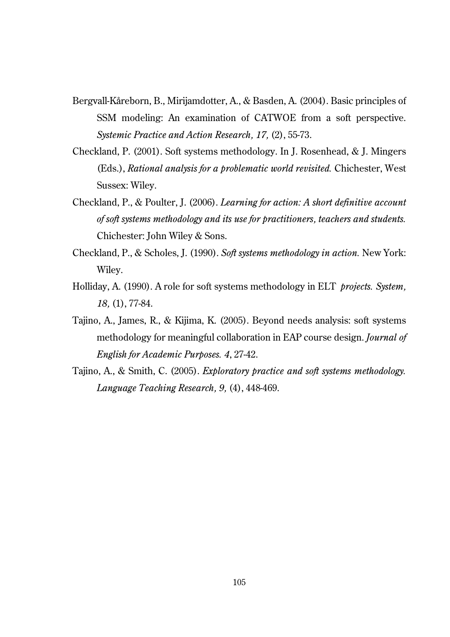- Bergvall-Kåreborn, B., Mirijamdotter, A., & Basden, A. (2004). Basic principles of SSM modeling: An examination of CATWOE from a soft perspective. *Systemic Practice and Action Research, 17,* (2), 55-73.
- Checkland, P. (2001). Soft systems methodology. In J. Rosenhead, & J. Mingers (Eds.), *Rational analysis for a problematic world revisited.* Chichester, West Sussex: Wiley.
- Checkland, P., & Poulter, J. (2006). *Learning for action: A short definitive account of soft systems methodology and its use for practitioners, teachers and students.* Chichester: John Wiley & Sons.
- Checkland, P., & Scholes, J. (1990). *Soft systems methodology in action.* New York: Wiley.
- Holliday, A. (1990). A role for soft systems methodology in ELT *projects. System, 18,* (1), 77-84.
- Tajino, A., James, R., & Kijima, K. (2005). Beyond needs analysis: soft systems methodology for meaningful collaboration in EAP course design. *Journal of English for Academic Purposes. 4*, 27-42.
- Tajino, A., & Smith, C. (2005). *Exploratory practice and soft systems methodology. Language Teaching Research, 9,* (4), 448-469.